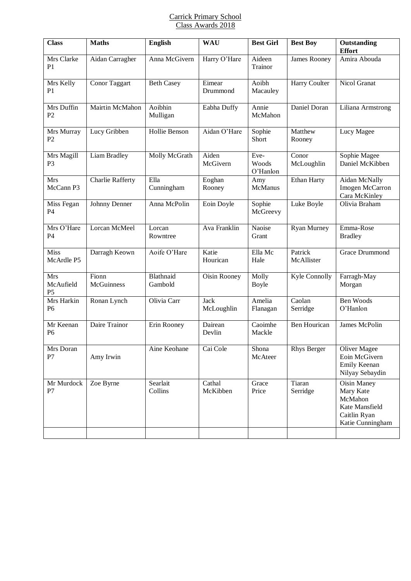## Carrick Primary School Class Awards 2018

| <b>Class</b>                              | <b>Maths</b>            | <b>English</b>       | <b>WAU</b>                | <b>Best Girl</b>          | <b>Best Boy</b>       | Outstanding<br><b>Effort</b>                                                              |
|-------------------------------------------|-------------------------|----------------------|---------------------------|---------------------------|-----------------------|-------------------------------------------------------------------------------------------|
| Mrs Clarke<br>P <sub>1</sub>              | Aidan Carragher         | Anna McGivern        | Harry O'Hare              | Aideen<br>Trainor         | James Rooney          | Amira Abouda                                                                              |
| Mrs Kelly<br>P <sub>1</sub>               | Conor Taggart           | <b>Beth Casey</b>    | Eimear<br>Drummond        | Aoibh<br>Macauley         | Harry Coulter         | Nicol Granat                                                                              |
| Mrs Duffin<br>P <sub>2</sub>              | Mairtin McMahon         | Aoibhin<br>Mulligan  | Eabha Duffy               | Annie<br>McMahon          | Daniel Doran          | Liliana Armstrong                                                                         |
| Mrs Murray<br>P <sub>2</sub>              | Lucy Gribben            | Hollie Benson        | Aidan O'Hare              | Sophie<br>Short           | Matthew<br>Rooney     | Lucy Magee                                                                                |
| Mrs Magill<br>P <sub>3</sub>              | Liam Bradley            | Molly McGrath        | Aiden<br>McGivern         | Eve-<br>Woods<br>O'Hanlon | Conor<br>McLoughlin   | Sophie Magee<br>Daniel McKibben                                                           |
| Mrs<br>McCann P3                          | <b>Charlie Rafferty</b> | Ella<br>Cunningham   | Eoghan<br>Rooney          | Amy<br>McManus            | Ethan Harty           | Aidan McNally<br>Imogen McCarron<br>Cara McKinley                                         |
| Miss Fegan<br><b>P4</b>                   | Johnny Denner           | Anna McPolin         | Eoin Doyle                | Sophie<br>McGreevy        | Luke Boyle            | Olivia Braham                                                                             |
| Mrs O'Hare<br>P4                          | Lorcan McMeel           | Lorcan<br>Rowntree   | Ava Franklin              | Naoise<br>Grant           | <b>Ryan Murney</b>    | Emma-Rose<br><b>Bradley</b>                                                               |
| <b>Miss</b><br>McArdle P5                 | Darragh Keown           | Aoife O'Hare         | Katie<br>Hourican         | Ella Mc<br>Hale           | Patrick<br>McAllister | Grace Drummond                                                                            |
| <b>Mrs</b><br>McAufield<br>P <sub>5</sub> | Fionn<br>McGuinness     | Blathnaid<br>Gambold | Oisin Rooney              | Molly<br>Boyle            | Kyle Connolly         | Farragh-May<br>Morgan                                                                     |
| Mrs Harkin<br>P <sub>6</sub>              | Ronan Lynch             | Olivia Carr          | <b>Jack</b><br>McLoughlin | Amelia<br>Flanagan        | Caolan<br>Serridge    | Ben Woods<br>O'Hanlon                                                                     |
| Mr Keenan<br>P <sub>6</sub>               | Daire Trainor           | Erin Rooney          | Dairean<br>Devlin         | Caoimhe<br>Mackle         | Ben Hourican          | James McPolin                                                                             |
| Mrs Doran<br>P7                           | Amy Irwin               | Aine Keohane         | Cai Cole                  | Shona<br>McAteer          | <b>Rhys Berger</b>    | Oliver Magee<br>Eoin McGivern<br>Emily Keenan<br>Nilyay Sebaydin                          |
| Mr Murdock<br>P7                          | Zoe Byrne               | Searlait<br>Collins  | Cathal<br>McKibben        | Grace<br>Price            | Tiaran<br>Serridge    | Oisin Maney<br>Mary Kate<br>McMahon<br>Kate Mansfield<br>Caitlin Ryan<br>Katie Cunningham |